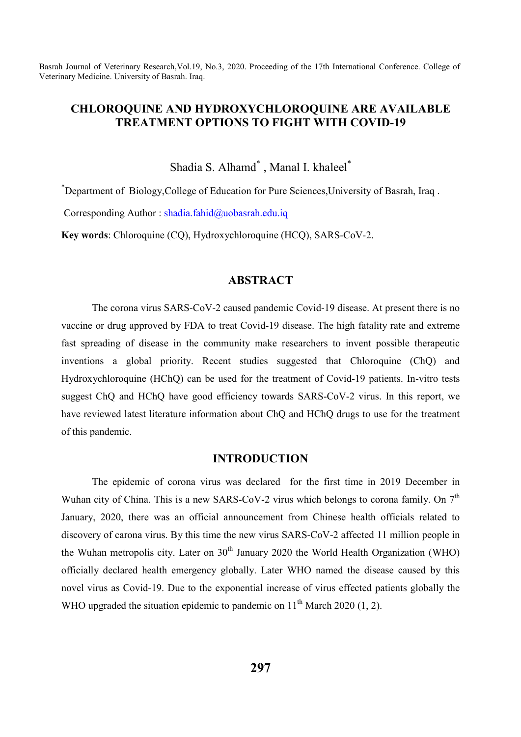# **CHLOROQUINE AND HYDROXYCHLOROQUINE ARE AVAILABLE TREATMENT OPTIONS TO FIGHT WITH COVID-19**

Shadia S. Alhamd\* , Manal I. khaleel\*

\* Department of Biology,College of Education for Pure Sciences,University of Basrah, Iraq .

Corresponding Author : shadia.fahid@uobasrah.edu.iq

**Key words**: Chloroquine (CQ), Hydroxychloroquine (HCQ), SARS-CoV-2.

# **ABSTRACT**

The corona virus SARS-CoV-2 caused pandemic Covid-19 disease. At present there is no vaccine or drug approved by FDA to treat Covid-19 disease. The high fatality rate and extreme fast spreading of disease in the community make researchers to invent possible therapeutic inventions a global priority. Recent studies suggested that Chloroquine (ChQ) and Hydroxychloroquine (HChQ) can be used for the treatment of Covid-19 patients. In-vitro tests suggest ChQ and HChQ have good efficiency towards SARS-CoV-2 virus. In this report, we have reviewed latest literature information about ChQ and HChQ drugs to use for the treatment of this pandemic.

# **INTRODUCTION**

The epidemic of corona virus was declared for the first time in 2019 December in Wuhan city of China. This is a new SARS-CoV-2 virus which belongs to corona family. On  $7<sup>th</sup>$ January, 2020, there was an official announcement from Chinese health officials related to discovery of carona virus. By this time the new virus SARS-CoV-2 affected 11 million people in the Wuhan metropolis city. Later on  $30<sup>th</sup>$  January 2020 the World Health Organization (WHO) officially declared health emergency globally. Later WHO named the disease caused by this novel virus as Covid-19. Due to the exponential increase of virus effected patients globally the WHO upgraded the situation epidemic to pandemic on  $11<sup>th</sup>$  March 2020 (1, 2).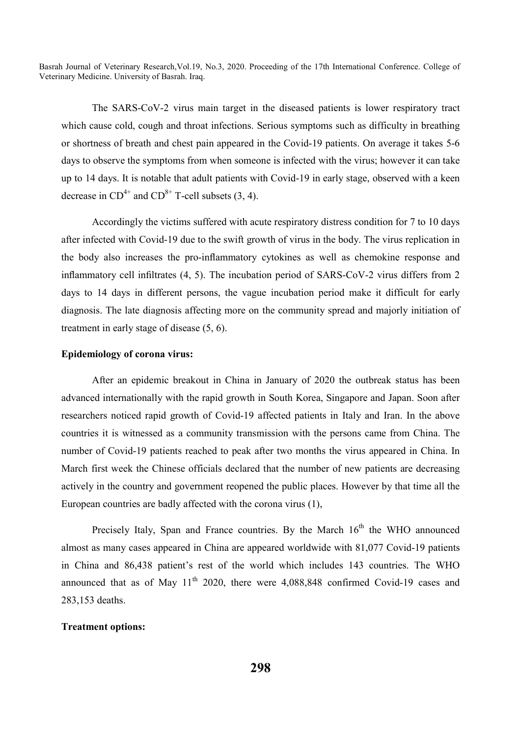The SARS-CoV-2 virus main target in the diseased patients is lower respiratory tract which cause cold, cough and throat infections. Serious symptoms such as difficulty in breathing or shortness of breath and chest pain appeared in the Covid-19 patients. On average it takes 5-6 days to observe the symptoms from when someone is infected with the virus; however it can take up to 14 days. It is notable that adult patients with Covid-19 in early stage, observed with a keen decrease in  $CD^{4+}$  and  $CD^{8+}$  T-cell subsets (3, 4).

Accordingly the victims suffered with acute respiratory distress condition for 7 to 10 days after infected with Covid-19 due to the swift growth of virus in the body. The virus replication in the body also increases the pro-inflammatory cytokines as well as chemokine response and inflammatory cell infiltrates (4, 5). The incubation period of SARS-CoV-2 virus differs from 2 days to 14 days in different persons, the vague incubation period make it difficult for early diagnosis. The late diagnosis affecting more on the community spread and majorly initiation of treatment in early stage of disease (5, 6).

## **Epidemiology of corona virus:**

After an epidemic breakout in China in January of 2020 the outbreak status has been advanced internationally with the rapid growth in South Korea, Singapore and Japan. Soon after researchers noticed rapid growth of Covid-19 affected patients in Italy and Iran. In the above countries it is witnessed as a community transmission with the persons came from China. The number of Covid-19 patients reached to peak after two months the virus appeared in China. In March first week the Chinese officials declared that the number of new patients are decreasing actively in the country and government reopened the public places. However by that time all the European countries are badly affected with the corona virus (1),

Precisely Italy, Span and France countries. By the March  $16<sup>th</sup>$  the WHO announced almost as many cases appeared in China are appeared worldwide with 81,077 Covid-19 patients in China and 86,438 patient's rest of the world which includes 143 countries. The WHO announced that as of May  $11<sup>th</sup>$  2020, there were 4,088,848 confirmed Covid-19 cases and 283,153 deaths.

## **Treatment options:**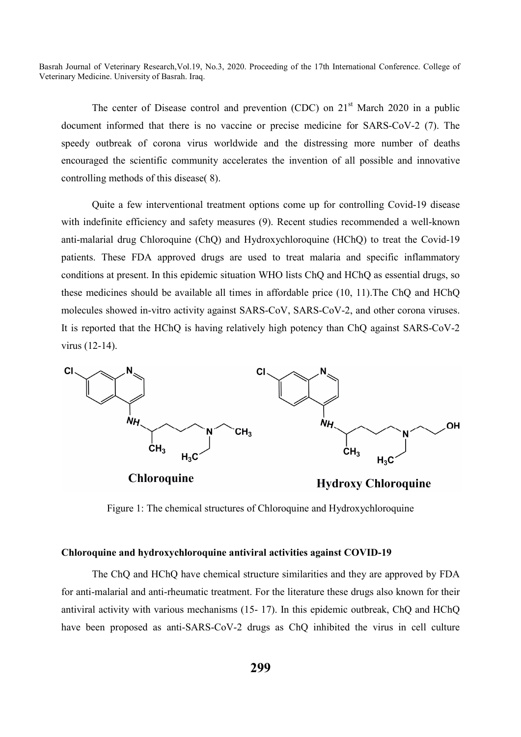The center of Disease control and prevention (CDC) on  $21<sup>st</sup>$  March 2020 in a public document informed that there is no vaccine or precise medicine for SARS-CoV-2 (7). The speedy outbreak of corona virus worldwide and the distressing more number of deaths encouraged the scientific community accelerates the invention of all possible and innovative controlling methods of this disease( 8).

Quite a few interventional treatment options come up for controlling Covid-19 disease with indefinite efficiency and safety measures (9). Recent studies recommended a well-known anti-malarial drug Chloroquine (ChQ) and Hydroxychloroquine (HChQ) to treat the Covid-19 patients. These FDA approved drugs are used to treat malaria and specific inflammatory conditions at present. In this epidemic situation WHO lists ChQ and HChQ as essential drugs, so these medicines should be available all times in affordable price (10, 11).The ChQ and HChQ molecules showed in-vitro activity against SARS-CoV, SARS-CoV-2, and other corona viruses. It is reported that the HChQ is having relatively high potency than ChQ against SARS-CoV-2 virus (12-14).



**Chloroquine** 

**Hydroxy Chloroquine** 

Figure 1: The chemical structures of Chloroquine and Hydroxychloroquine

### **Chloroquine and hydroxychloroquine antiviral activities against COVID-19**

The ChQ and HChQ have chemical structure similarities and they are approved by FDA for anti-malarial and anti-rheumatic treatment. For the literature these drugs also known for their antiviral activity with various mechanisms (15- 17). In this epidemic outbreak, ChQ and HChQ have been proposed as anti-SARS-CoV-2 drugs as ChQ inhibited the virus in cell culture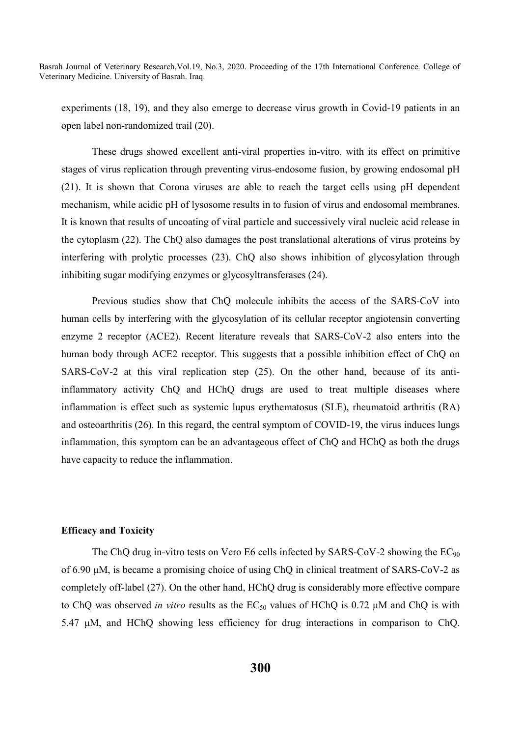experiments (18, 19), and they also emerge to decrease virus growth in Covid-19 patients in an open label non-randomized trail (20).

These drugs showed excellent anti-viral properties in-vitro, with its effect on primitive stages of virus replication through preventing virus-endosome fusion, by growing endosomal pH (21). It is shown that Corona viruses are able to reach the target cells using pH dependent mechanism, while acidic pH of lysosome results in to fusion of virus and endosomal membranes. It is known that results of uncoating of viral particle and successively viral nucleic acid release in the cytoplasm (22). The ChQ also damages the post translational alterations of virus proteins by interfering with prolytic processes (23). ChQ also shows inhibition of glycosylation through inhibiting sugar modifying enzymes or glycosyltransferases (24).

Previous studies show that ChQ molecule inhibits the access of the SARS-CoV into human cells by interfering with the glycosylation of its cellular receptor angiotensin converting enzyme 2 receptor (ACE2). Recent literature reveals that SARS-CoV-2 also enters into the human body through ACE2 receptor. This suggests that a possible inhibition effect of ChQ on SARS-CoV-2 at this viral replication step (25). On the other hand, because of its antiinflammatory activity ChQ and HChQ drugs are used to treat multiple diseases where inflammation is effect such as systemic lupus erythematosus (SLE), rheumatoid arthritis (RA) and osteoarthritis (26). In this regard, the central symptom of COVID-19, the virus induces lungs inflammation, this symptom can be an advantageous effect of ChQ and HChQ as both the drugs have capacity to reduce the inflammation.

### **Efficacy and Toxicity**

The ChQ drug in-vitro tests on Vero E6 cells infected by SARS-CoV-2 showing the EC<sub>90</sub> of 6.90 μM, is became a promising choice of using ChQ in clinical treatment of SARS-CoV-2 as completely off-label (27). On the other hand, HChQ drug is considerably more effective compare to ChQ was observed *in vitro* results as the EC<sub>50</sub> values of HChQ is 0.72 μM and ChQ is with 5.47 μM, and HChQ showing less efficiency for drug interactions in comparison to ChQ.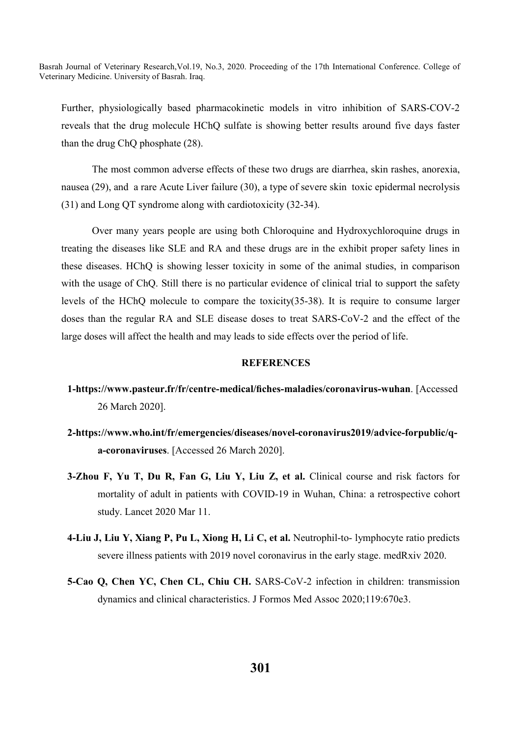Further, physiologically based pharmacokinetic models in vitro inhibition of SARS-COV-2 reveals that the drug molecule HChQ sulfate is showing better results around five days faster than the drug ChQ phosphate (28).

The most common adverse effects of these two drugs are diarrhea, skin rashes, anorexia, nausea (29), and a rare Acute Liver failure (30), a type of severe skin toxic epidermal necrolysis (31) and Long QT syndrome along with cardiotoxicity (32-34).

Over many years people are using both Chloroquine and Hydroxychloroquine drugs in treating the diseases like SLE and RA and these drugs are in the exhibit proper safety lines in these diseases. HChQ is showing lesser toxicity in some of the animal studies, in comparison with the usage of ChQ. Still there is no particular evidence of clinical trial to support the safety levels of the HChQ molecule to compare the toxicity(35-38). It is require to consume larger doses than the regular RA and SLE disease doses to treat SARS-CoV-2 and the effect of the large doses will affect the health and may leads to side effects over the period of life.

### **REFERENCES**

- **1-https://www.pasteur.fr/fr/centre-medical/fiches-maladies/coronavirus-wuhan**. [Accessed 26 March 2020].
- **2-https://www.who.int/fr/emergencies/diseases/novel-coronavirus2019/advice-forpublic/qa-coronaviruses**. [Accessed 26 March 2020].
- **3-Zhou F, Yu T, Du R, Fan G, Liu Y, Liu Z, et al.** Clinical course and risk factors for mortality of adult in patients with COVID-19 in Wuhan, China: a retrospective cohort study. Lancet 2020 Mar 11.
- **4-Liu J, Liu Y, Xiang P, Pu L, Xiong H, Li C, et al.** Neutrophil-to- lymphocyte ratio predicts severe illness patients with 2019 novel coronavirus in the early stage. medRxiv 2020.
- **5-Cao Q, Chen YC, Chen CL, Chiu CH.** SARS-CoV-2 infection in children: transmission dynamics and clinical characteristics. J Formos Med Assoc 2020;119:670e3.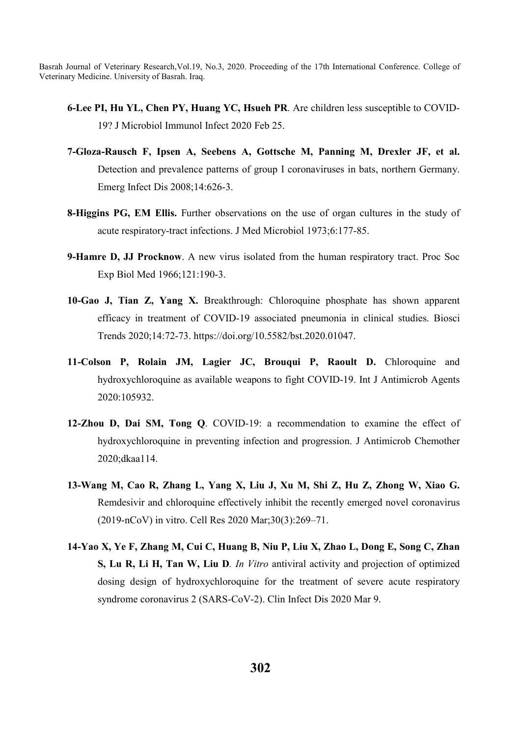- **6-Lee PI, Hu YL, Chen PY, Huang YC, Hsueh PR**. Are children less susceptible to COVID-19? J Microbiol Immunol Infect 2020 Feb 25.
- **7-Gloza-Rausch F, Ipsen A, Seebens A, Gottsche M, Panning M, Drexler JF, et al.**  Detection and prevalence patterns of group I coronaviruses in bats, northern Germany. Emerg Infect Dis 2008;14:626-3.
- **8-Higgins PG, EM Ellis.** Further observations on the use of organ cultures in the study of acute respiratory-tract infections. J Med Microbiol 1973;6:177-85.
- **9-Hamre D, JJ Procknow**. A new virus isolated from the human respiratory tract. Proc Soc Exp Biol Med 1966;121:190-3.
- **10-Gao J, Tian Z, Yang X.** Breakthrough: Chloroquine phosphate has shown apparent efficacy in treatment of COVID-19 associated pneumonia in clinical studies. Biosci Trends 2020;14:72-73. https://doi.org/10.5582/bst.2020.01047.
- **11-Colson P, Rolain JM, Lagier JC, Brouqui P, Raoult D.** Chloroquine and hydroxychloroquine as available weapons to fight COVID-19. Int J Antimicrob Agents 2020:105932.
- **12-Zhou D, Dai SM, Tong Q**. COVID-19: a recommendation to examine the effect of hydroxychloroquine in preventing infection and progression. J Antimicrob Chemother 2020;dkaa114.
- **13-Wang M, Cao R, Zhang L, Yang X, Liu J, Xu M, Shi Z, Hu Z, Zhong W, Xiao G.**  Remdesivir and chloroquine effectively inhibit the recently emerged novel coronavirus (2019-nCoV) in vitro. Cell Res 2020 Mar;30(3):269–71.
- **14-Yao X, Ye F, Zhang M, Cui C, Huang B, Niu P, Liu X, Zhao L, Dong E, Song C, Zhan S, Lu R, Li H, Tan W, Liu D***. In Vitro* antiviral activity and projection of optimized dosing design of hydroxychloroquine for the treatment of severe acute respiratory syndrome coronavirus 2 (SARS-CoV-2). Clin Infect Dis 2020 Mar 9.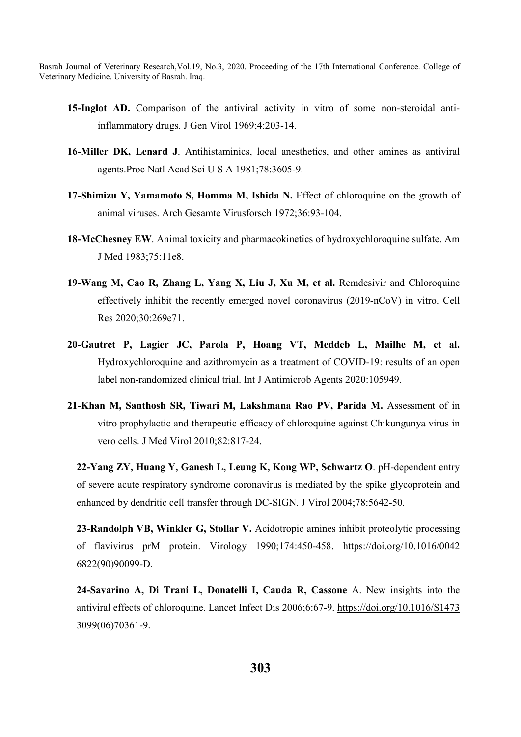- **15-Inglot AD.** Comparison of the antiviral activity in vitro of some non-steroidal antiinflammatory drugs. J Gen Virol 1969;4:203-14.
- **16-Miller DK, Lenard J**. Antihistaminics, local anesthetics, and other amines as antiviral agents.Proc Natl Acad Sci U S A 1981;78:3605-9.
- **17-Shimizu Y, Yamamoto S, Homma M, Ishida N.** Effect of chloroquine on the growth of animal viruses. Arch Gesamte Virusforsch 1972;36:93-104.
- **18-McChesney EW**. Animal toxicity and pharmacokinetics of hydroxychloroquine sulfate. Am J Med 1983;75:11e8.
- **19-Wang M, Cao R, Zhang L, Yang X, Liu J, Xu M, et al.** Remdesivir and Chloroquine effectively inhibit the recently emerged novel coronavirus (2019-nCoV) in vitro. Cell Res 2020;30:269e71.
- **20-Gautret P, Lagier JC, Parola P, Hoang VT, Meddeb L, Mailhe M, et al.** Hydroxychloroquine and azithromycin as a treatment of COVID-19: results of an open label non-randomized clinical trial. Int J Antimicrob Agents 2020:105949.
- **21-Khan M, Santhosh SR, Tiwari M, Lakshmana Rao PV, Parida M.** Assessment of in vitro prophylactic and therapeutic efficacy of chloroquine against Chikungunya virus in vero cells. J Med Virol 2010;82:817-24.

**22-Yang ZY, Huang Y, Ganesh L, Leung K, Kong WP, Schwartz O**. pH-dependent entry of severe acute respiratory syndrome coronavirus is mediated by the spike glycoprotein and enhanced by dendritic cell transfer through DC-SIGN. J Virol 2004;78:5642-50.

**23-Randolph VB, Winkler G, Stollar V.** Acidotropic amines inhibit proteolytic processing of flavivirus prM protein. Virology 1990;174:450-458. https://doi.org/10.1016/0042 6822(90)90099-D.

**24-Savarino A, Di Trani L, Donatelli I, Cauda R, Cassone** A. New insights into the antiviral effects of chloroquine. Lancet Infect Dis 2006;6:67-9. https://doi.org/10.1016/S1473 3099(06)70361-9.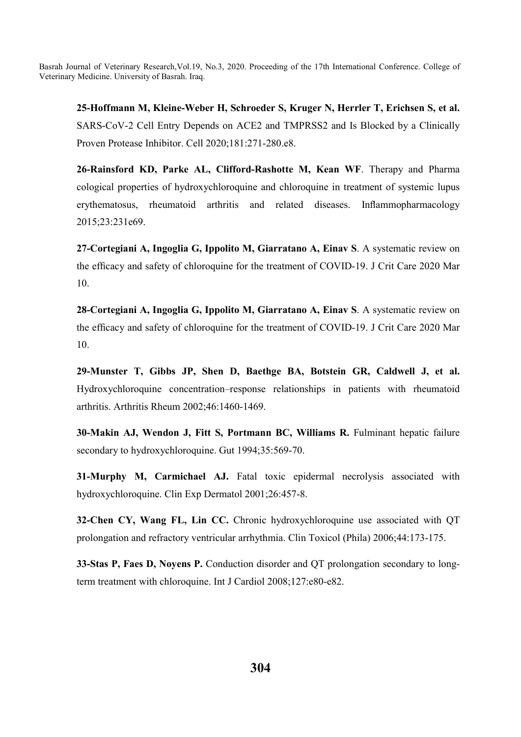**25-Hoffmann M, Kleine-Weber H, Schroeder S, Kruger N, Herrler T, Erichsen S, et al.**  SARS-CoV-2 Cell Entry Depends on ACE2 and TMPRSS2 and Is Blocked by a Clinically Proven Protease Inhibitor. Cell 2020;181:271-280.e8.

**26-Rainsford KD, Parke AL, Clifford-Rashotte M, Kean WF**. Therapy and Pharma cological properties of hydroxychloroquine and chloroquine in treatment of systemic lupus erythematosus, rheumatoid arthritis and related diseases. Inflammopharmacology 2015;23:231e69.

**27-Cortegiani A, Ingoglia G, Ippolito M, Giarratano A, Einav S**. A systematic review on the efficacy and safety of chloroquine for the treatment of COVID-19. J Crit Care 2020 Mar 10.

**28-Cortegiani A, Ingoglia G, Ippolito M, Giarratano A, Einav S**. A systematic review on the efficacy and safety of chloroquine for the treatment of COVID-19. J Crit Care 2020 Mar 10.

**29-Munster T, Gibbs JP, Shen D, Baethge BA, Botstein GR, Caldwell J, et al.** Hydroxychloroquine concentration–response relationships in patients with rheumatoid arthritis. Arthritis Rheum 2002;46:1460-1469.

**30-Makin AJ, Wendon J, Fitt S, Portmann BC, Williams R.** Fulminant hepatic failure secondary to hydroxychloroquine. Gut 1994;35:569-70.

**31-Murphy M, Carmichael AJ.** Fatal toxic epidermal necrolysis associated with hydroxychloroquine. Clin Exp Dermatol 2001;26:457-8.

**32-Chen CY, Wang FL, Lin CC.** Chronic hydroxychloroquine use associated with QT prolongation and refractory ventricular arrhythmia. Clin Toxicol (Phila) 2006;44:173-175.

**33-Stas P, Faes D, Noyens P.** Conduction disorder and QT prolongation secondary to longterm treatment with chloroquine. Int J Cardiol 2008;127:e80-e82.